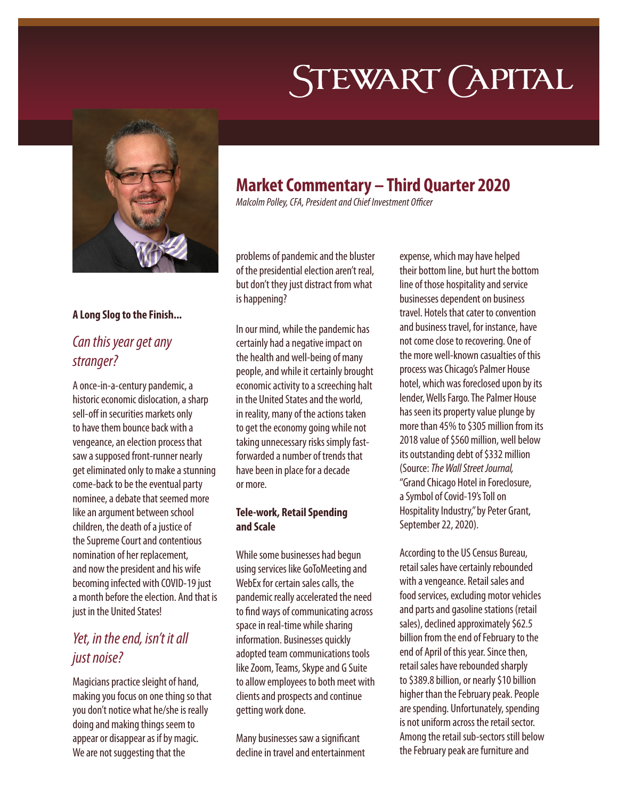# **STEWART CAPITAL**



#### **A Long Slog to the Finish...**

### *Can this year get any stranger?*

A once-in-a-century pandemic, a historic economic dislocation, a sharp sell-off in securities markets only to have them bounce back with a vengeance, an election process that saw a supposed front-runner nearly get eliminated only to make a stunning come-back to be the eventual party nominee, a debate that seemed more like an argument between school children, the death of a justice of the Supreme Court and contentious nomination of her replacement, and now the president and his wife becoming infected with COVID-19 just a month before the election. And that is just in the United States!

## *Yet, in the end, isn't it all just noise?*

Magicians practice sleight of hand, making you focus on one thing so that you don't notice what he/she is really doing and making things seem to appear or disappear as if by magic. We are not suggesting that the

# **Market Commentary – Third Quarter 2020**

*Malcolm Polley, CFA, President and Chief Investment Officer*

problems of pandemic and the bluster of the presidential election aren't real, but don't they just distract from what is happening?

In our mind, while the pandemic has certainly had a negative impact on the health and well-being of many people, and while it certainly brought economic activity to a screeching halt in the United States and the world, in reality, many of the actions taken to get the economy going while not taking unnecessary risks simply fastforwarded a number of trends that have been in place for a decade or more.

#### **Tele-work, Retail Spending and Scale**

While some businesses had begun using services like GoToMeeting and WebEx for certain sales calls, the pandemic really accelerated the need to find ways of communicating across space in real-time while sharing information. Businesses quickly adopted team communications tools like Zoom, Teams, Skype and G Suite to allow employees to both meet with clients and prospects and continue getting work done.

Many businesses saw a significant decline in travel and entertainment expense, which may have helped their bottom line, but hurt the bottom line of those hospitality and service businesses dependent on business travel. Hotels that cater to convention and business travel, for instance, have not come close to recovering. One of the more well-known casualties of this process was Chicago's Palmer House hotel, which was foreclosed upon by its lender, Wells Fargo. The Palmer House has seen its property value plunge by more than 45% to \$305 million from its 2018 value of \$560 million, well below its outstanding debt of \$332 million (Source: *The Wall Street Journal,*  "Grand Chicago Hotel in Foreclosure, a Symbol of Covid-19's Toll on Hospitality Industry," by Peter Grant, September 22, 2020).

According to the US Census Bureau, retail sales have certainly rebounded with a vengeance. Retail sales and food services, excluding motor vehicles and parts and gasoline stations (retail sales), declined approximately \$62.5 billion from the end of February to the end of April of this year. Since then, retail sales have rebounded sharply to \$389.8 billion, or nearly \$10 billion higher than the February peak. People are spending. Unfortunately, spending is not uniform across the retail sector. Among the retail sub-sectors still below the February peak are furniture and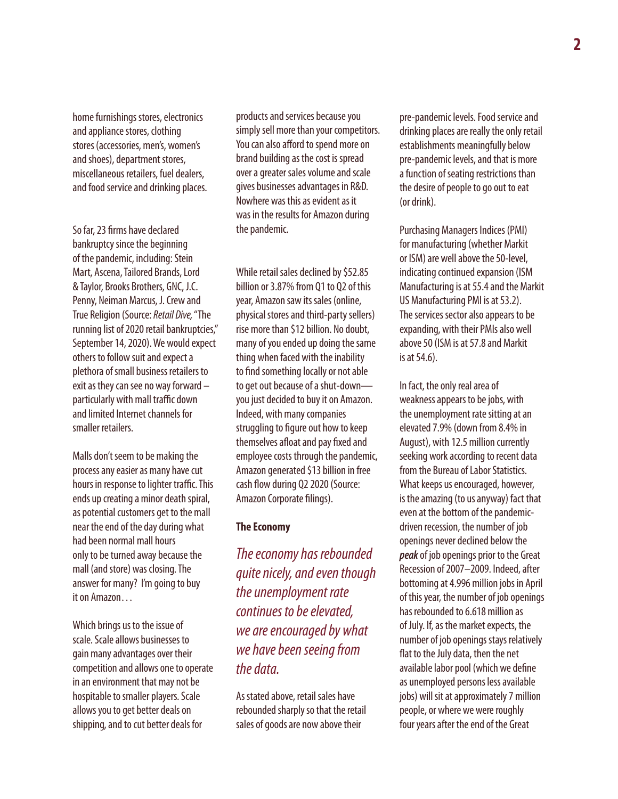home furnishings stores, electronics and appliance stores, clothing stores (accessories, men's, women's and shoes), department stores, miscellaneous retailers, fuel dealers, and food service and drinking places.

So far, 23 firms have declared bankruptcy since the beginning of the pandemic, including: Stein Mart, Ascena, Tailored Brands, Lord & Taylor, Brooks Brothers, GNC, J.C. Penny, Neiman Marcus, J. Crew and True Religion (Source: *Retail Dive,* "The running list of 2020 retail bankruptcies," September 14, 2020). We would expect others to follow suit and expect a plethora of small business retailers to exit as they can see no way forward – particularly with mall traffic down and limited Internet channels for smaller retailers.

Malls don't seem to be making the process any easier as many have cut hours in response to lighter traffic. This ends up creating a minor death spiral, as potential customers get to the mall near the end of the day during what had been normal mall hours only to be turned away because the mall (and store) was closing. The answer for many? I'm going to buy it on Amazon…

Which brings us to the issue of scale. Scale allows businesses to gain many advantages over their competition and allows one to operate in an environment that may not be hospitable to smaller players. Scale allows you to get better deals on shipping, and to cut better deals for

products and services because you simply sell more than your competitors. You can also afford to spend more on brand building as the cost is spread over a greater sales volume and scale gives businesses advantages in R&D. Nowhere was this as evident as it was in the results for Amazon during the pandemic.

While retail sales declined by \$52.85 billion or 3.87% from Q1 to Q2 of this year, Amazon saw its sales (online, physical stores and third-party sellers) rise more than \$12 billion. No doubt, many of you ended up doing the same thing when faced with the inability to find something locally or not able to get out because of a shut-down you just decided to buy it on Amazon. Indeed, with many companies struggling to figure out how to keep themselves afloat and pay fixed and employee costs through the pandemic, Amazon generated \$13 billion in free cash flow during Q2 2020 (Source: Amazon Corporate filings).

#### **The Economy**

*The economy has rebounded quite nicely, and even though the unemployment rate continues to be elevated, we are encouraged by what we have been seeing from the data.*

As stated above, retail sales have rebounded sharply so that the retail sales of goods are now above their

pre-pandemic levels. Food service and drinking places are really the only retail establishments meaningfully below pre-pandemic levels, and that is more a function of seating restrictions than the desire of people to go out to eat (or drink).

Purchasing Managers Indices (PMI) for manufacturing (whether Markit or ISM) are well above the 50-level, indicating continued expansion (ISM Manufacturing is at 55.4 and the Markit US Manufacturing PMI is at 53.2). The services sector also appears to be expanding, with their PMIs also well above 50 (ISM is at 57.8 and Markit is at 54.6).

In fact, the only real area of weakness appears to be jobs, with the unemployment rate sitting at an elevated 7.9% (down from 8.4% in August), with 12.5 million currently seeking work according to recent data from the Bureau of Labor Statistics. What keeps us encouraged, however, is the amazing (to us anyway) fact that even at the bottom of the pandemicdriven recession, the number of job openings never declined below the *peak* of job openings prior to the Great Recession of 2007–2009. Indeed, after bottoming at 4.996 million jobs in April of this year, the number of job openings has rebounded to 6.618 million as of July. If, as the market expects, the number of job openings stays relatively flat to the July data, then the net available labor pool (which we define as unemployed persons less available jobs) will sit at approximately 7 million people, or where we were roughly four years after the end of the Great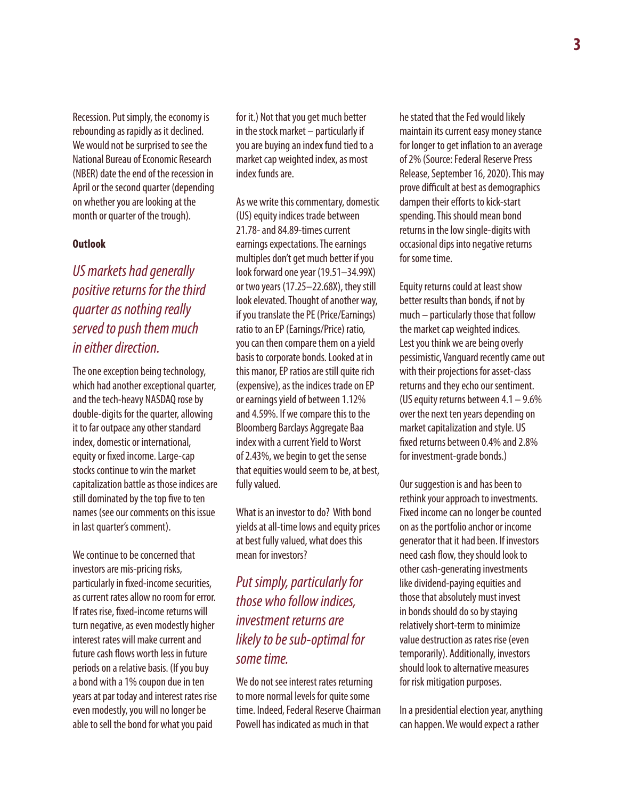Recession. Put simply, the economy is rebounding as rapidly as it declined. We would not be surprised to see the National Bureau of Economic Research (NBER) date the end of the recession in April or the second quarter (depending on whether you are looking at the month or quarter of the trough).

#### **Outlook**

*US markets had generally positive returns for the third quarter as nothing really served to push them much in either direction.*

The one exception being technology, which had another exceptional quarter, and the tech-heavy NASDAQ rose by double-digits for the quarter, allowing it to far outpace any other standard index, domestic or international, equity or fixed income. Large-cap stocks continue to win the market capitalization battle as those indices are still dominated by the top five to ten names (see our comments on this issue in last quarter's comment).

We continue to be concerned that investors are mis-pricing risks, particularly in fixed-income securities, as current rates allow no room for error. If rates rise, fixed-income returns will turn negative, as even modestly higher interest rates will make current and future cash flows worth less in future periods on a relative basis. (If you buy a bond with a 1% coupon due in ten years at par today and interest rates rise even modestly, you will no longer be able to sell the bond for what you paid

for it.) Not that you get much better in the stock market – particularly if you are buying an index fund tied to a market cap weighted index, as most index funds are.

As we write this commentary, domestic (US) equity indices trade between 21.78- and 84.89-times current earnings expectations. The earnings multiples don't get much better if you look forward one year (19.51–34.99X) or two years (17.25–22.68X), they still look elevated. Thought of another way, if you translate the PE (Price/Earnings) ratio to an EP (Earnings/Price) ratio, you can then compare them on a yield basis to corporate bonds. Looked at in this manor, EP ratios are still quite rich (expensive), as the indices trade on EP or earnings yield of between 1.12% and 4.59%. If we compare this to the Bloomberg Barclays Aggregate Baa index with a current Yield to Worst of 2.43%, we begin to get the sense that equities would seem to be, at best, fully valued.

What is an investor to do? With bond yields at all-time lows and equity prices at best fully valued, what does this mean for investors?

# *Put simply, particularly for those who follow indices, investment returns are likely to be sub-optimal for some time.*

We do not see interest rates returning to more normal levels for quite some time. Indeed, Federal Reserve Chairman Powell has indicated as much in that

he stated that the Fed would likely maintain its current easy money stance for longer to get inflation to an average of 2% (Source: Federal Reserve Press Release, September 16, 2020). This may prove difficult at best as demographics dampen their efforts to kick-start spending. This should mean bond returns in the low single-digits with occasional dips into negative returns for some time.

Equity returns could at least show better results than bonds, if not by much – particularly those that follow the market cap weighted indices. Lest you think we are being overly pessimistic, Vanguard recently came out with their projections for asset-class returns and they echo our sentiment. (US equity returns between 4.1 – 9.6% over the next ten years depending on market capitalization and style. US fixed returns between 0.4% and 2.8% for investment-grade bonds.)

Our suggestion is and has been to rethink your approach to investments. Fixed income can no longer be counted on as the portfolio anchor or income generator that it had been. If investors need cash flow, they should look to other cash-generating investments like dividend-paying equities and those that absolutely must invest in bonds should do so by staying relatively short-term to minimize value destruction as rates rise (even temporarily). Additionally, investors should look to alternative measures for risk mitigation purposes.

In a presidential election year, anything can happen. We would expect a rather